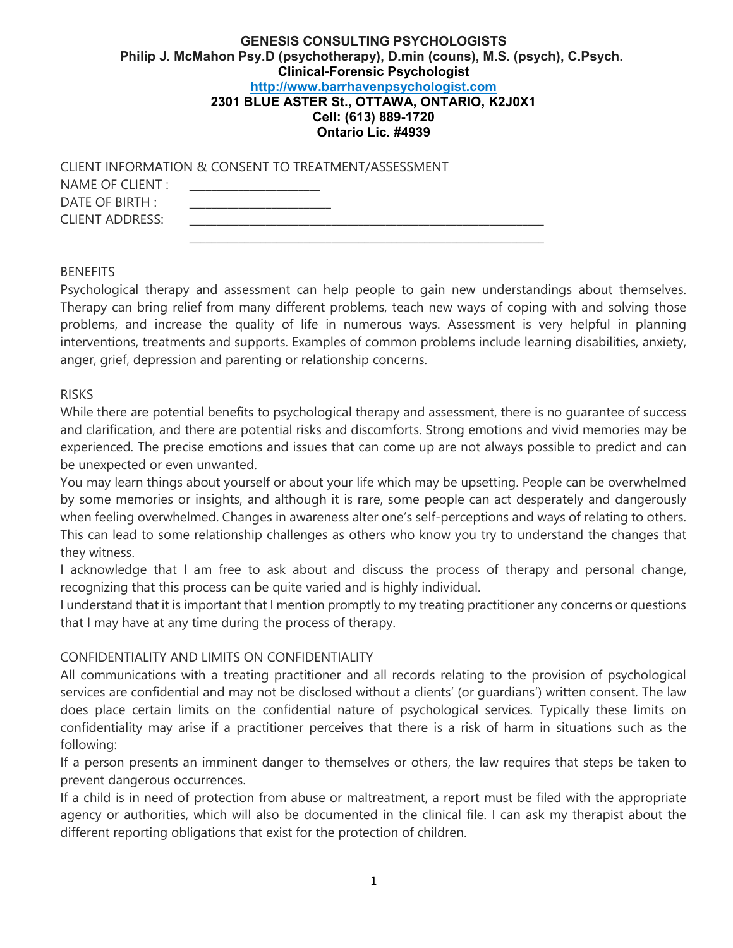## GENESIS CONSULTING PSYCHOLOGISTS Philip J. McMahon Psy.D (psychotherapy), D.min (couns), M.S. (psych), C.Psych. Clinical-Forensic Psychologist http://www.barrhavenpsychologist.com 2301 BLUE ASTER St., OTTAWA, ONTARIO, K2J0X1 Cell: (613) 889-1720 Ontario Lic. #4939

| CLIENT INFORMATION & CONSENT TO TREATMENT/ASSESSMENT |  |
|------------------------------------------------------|--|
| NAME OF CLIENT :                                     |  |
| DATE OF BIRTH :                                      |  |
| CLIENT ADDRESS:                                      |  |
|                                                      |  |

#### BENEFITS

Psychological therapy and assessment can help people to gain new understandings about themselves. Therapy can bring relief from many different problems, teach new ways of coping with and solving those problems, and increase the quality of life in numerous ways. Assessment is very helpful in planning interventions, treatments and supports. Examples of common problems include learning disabilities, anxiety, anger, grief, depression and parenting or relationship concerns.

#### RISKS

While there are potential benefits to psychological therapy and assessment, there is no guarantee of success and clarification, and there are potential risks and discomforts. Strong emotions and vivid memories may be experienced. The precise emotions and issues that can come up are not always possible to predict and can be unexpected or even unwanted.

You may learn things about yourself or about your life which may be upsetting. People can be overwhelmed by some memories or insights, and although it is rare, some people can act desperately and dangerously when feeling overwhelmed. Changes in awareness alter one's self-perceptions and ways of relating to others. This can lead to some relationship challenges as others who know you try to understand the changes that they witness.

I acknowledge that I am free to ask about and discuss the process of therapy and personal change, recognizing that this process can be quite varied and is highly individual.

I understand that it is important that I mention promptly to my treating practitioner any concerns or questions that I may have at any time during the process of therapy.

#### CONFIDENTIALITY AND LIMITS ON CONFIDENTIALITY

All communications with a treating practitioner and all records relating to the provision of psychological services are confidential and may not be disclosed without a clients' (or guardians') written consent. The law does place certain limits on the confidential nature of psychological services. Typically these limits on confidentiality may arise if a practitioner perceives that there is a risk of harm in situations such as the following:

If a person presents an imminent danger to themselves or others, the law requires that steps be taken to prevent dangerous occurrences.

If a child is in need of protection from abuse or maltreatment, a report must be filed with the appropriate agency or authorities, which will also be documented in the clinical file. I can ask my therapist about the different reporting obligations that exist for the protection of children.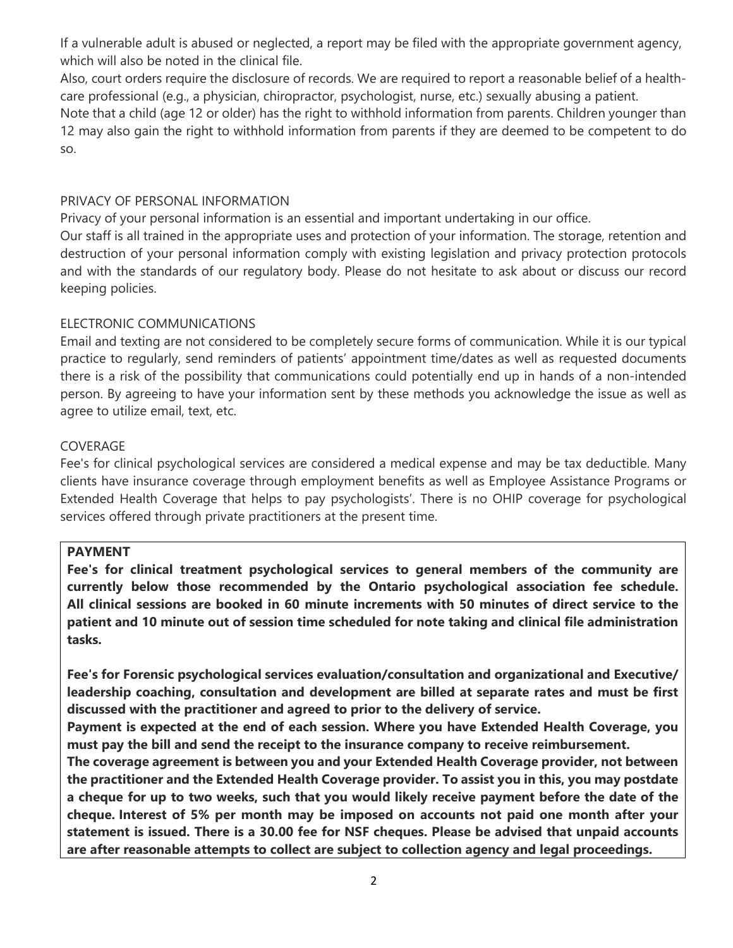If a vulnerable adult is abused or neglected, a report may be filed with the appropriate government agency, which will also be noted in the clinical file.

Also, court orders require the disclosure of records. We are required to report a reasonable belief of a healthcare professional (e.g., a physician, chiropractor, psychologist, nurse, etc.) sexually abusing a patient.

Note that a child (age 12 or older) has the right to withhold information from parents. Children younger than 12 may also gain the right to withhold information from parents if they are deemed to be competent to do so.

## PRIVACY OF PERSONAL INFORMATION

Privacy of your personal information is an essential and important undertaking in our office.

Our staff is all trained in the appropriate uses and protection of your information. The storage, retention and destruction of your personal information comply with existing legislation and privacy protection protocols and with the standards of our regulatory body. Please do not hesitate to ask about or discuss our record keeping policies.

## ELECTRONIC COMMUNICATIONS

Email and texting are not considered to be completely secure forms of communication. While it is our typical practice to regularly, send reminders of patients' appointment time/dates as well as requested documents there is a risk of the possibility that communications could potentially end up in hands of a non-intended person. By agreeing to have your information sent by these methods you acknowledge the issue as well as agree to utilize email, text, etc.

## COVERAGE

Fee's for clinical psychological services are considered a medical expense and may be tax deductible. Many clients have insurance coverage through employment benefits as well as Employee Assistance Programs or Extended Health Coverage that helps to pay psychologists'. There is no OHIP coverage for psychological services offered through private practitioners at the present time.

#### PAYMENT

Fee's for clinical treatment psychological services to general members of the community are currently below those recommended by the Ontario psychological association fee schedule. All clinical sessions are booked in 60 minute increments with 50 minutes of direct service to the patient and 10 minute out of session time scheduled for note taking and clinical file administration tasks.

Fee's for Forensic psychological services evaluation/consultation and organizational and Executive/ leadership coaching, consultation and development are billed at separate rates and must be first discussed with the practitioner and agreed to prior to the delivery of service.

Payment is expected at the end of each session. Where you have Extended Health Coverage, you must pay the bill and send the receipt to the insurance company to receive reimbursement.

The coverage agreement is between you and your Extended Health Coverage provider, not between the practitioner and the Extended Health Coverage provider. To assist you in this, you may postdate a cheque for up to two weeks, such that you would likely receive payment before the date of the cheque. Interest of 5% per month may be imposed on accounts not paid one month after your statement is issued. There is a 30.00 fee for NSF cheques. Please be advised that unpaid accounts are after reasonable attempts to collect are subject to collection agency and legal proceedings.